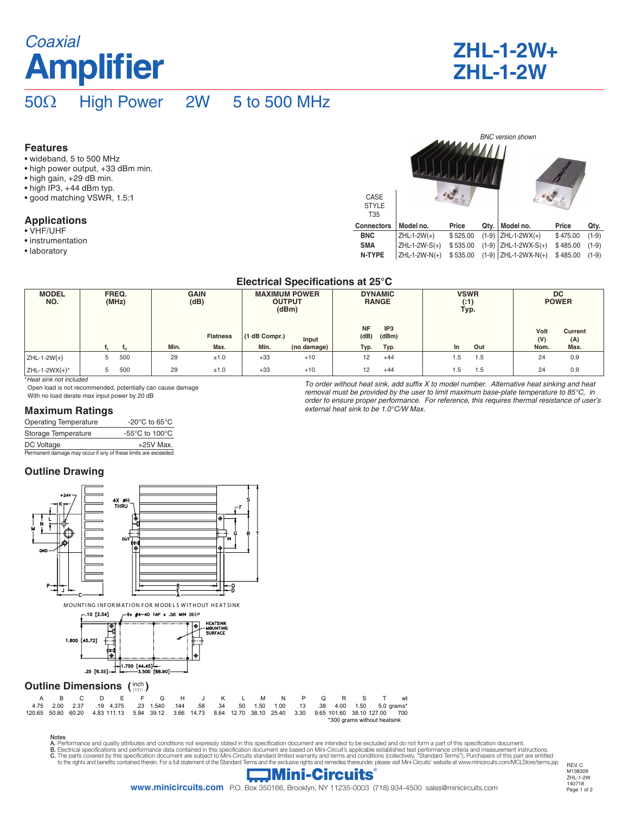# **Amplifier** Coaxial **ZHL-1-2W+**

| <b>ZHL-1-2W+</b> |  |
|------------------|--|
| <b>ZHL-1-2W</b>  |  |

## 50Ω High Power 2W 5 to 500 MHz

#### **Features**

- wideband, 5 to 500 MHz
- high power output, +33 dBm min.
- high gain, +29 dB min.
- high IP3, +44 dBm typ.
- good matching VSWR, 1.5:1

### **Applications**

- VHF/UHF
- instrumentation
- laboratory

| CASE<br><b>STYLE</b><br>T <sub>35</sub> |                 |          |         | <b>BNC</b> version shown |          |         |
|-----------------------------------------|-----------------|----------|---------|--------------------------|----------|---------|
| <b>Connectors</b>                       | Model no.       | Price    | Qty.    | Model no.                | Price    | Qty.    |
| <b>BNC</b>                              | $ZHL-1-2W(+)$   | \$525.00 | $(1-9)$ | $ZHL-1-2WX(+)$           | \$475.00 | $(1-9)$ |
| <b>SMA</b>                              | $ZHL-1-2W-S(+)$ | \$535.00 | $(1-9)$ | ZHL-1-2WX-S(+)           | \$485.00 | $(1-9)$ |
| <b>N-TYPE</b>                           | ZHL-1-2W-N(+)   | \$535.00 | $(1-9)$ | ZHL-1-2WX-N(+)           | \$485.00 | $(1-9)$ |

To order without heat sink, add suffix X to model number. Alternative heat sinking and heat removal must be provided by the user to limit maximum base-plate temperature to 85°C, in order to ensure proper performance. For reference, this requires thermal resistance of user's

#### **Electrical Specifications at 25°C**

| <b>MODEL</b><br>NO. | <b>GAIN</b><br>FREQ.<br>(dB)<br>(MHz) |     | <b>MAXIMUM POWER</b><br><b>OUTPUT</b><br>(dBm) |                         | <b>DYNAMIC</b><br><b>RANGE</b> |                      | <b>VSWR</b><br>( : 1)<br>Typ. |                                  | <b>DC</b><br><b>POWER</b> |     |                     |                        |
|---------------------|---------------------------------------|-----|------------------------------------------------|-------------------------|--------------------------------|----------------------|-------------------------------|----------------------------------|---------------------------|-----|---------------------|------------------------|
|                     |                                       | ш.  | Min.                                           | <b>Flatness</b><br>Max. | (1 dB Compr.)<br>Min.          | Input<br>(no damage) | <b>NF</b><br>(dB)<br>Typ.     | IP <sub>3</sub><br>(dBm)<br>Typ. | In                        | Out | Volt<br>(V)<br>Nom. | Current<br>(A)<br>Max. |
| $ZHL-1-2W(+)$       | 5                                     | 500 | 29                                             | ±1.0                    | $+33$                          | $+10$                | 12                            | $+44$                            | 1.5                       | 1.5 | 24                  | 0.9                    |
| ZHL-1-2WX $(+)^*$   | 5                                     | 500 | 29                                             | ±1.0                    | $+33$                          | $+10$                | 12                            | $+44$                            | 1.5                       | 1.5 | 24                  | 0.9                    |

external heat sink to be 1.0°C/W Max.

\**Heat sink not included*

Open load is not recommended, potentially can cause damage With no load derate max input power by 20 dB

#### **Maximum Ratings**

| <b>Operating Temperature</b>                                    | -20 $^{\circ}$ C to 65 $^{\circ}$ C                  |
|-----------------------------------------------------------------|------------------------------------------------------|
| Storage Temperature                                             | -55 $\mathrm{^{\circ}C}$ to 100 $\mathrm{^{\circ}C}$ |
| DC Voltage                                                      | $+25V$ Max.                                          |
| Permanent damage may occur if any of these limits are exceeded. |                                                      |

### **Outline Drawing**



Notes A. Performance and quality attributes and conditions not expressly stated in this specification document are intended to be excluded and do not form a part of this specification document.

B. Electrical specifications and performance data contained in this specification document are based on Mini-Circuit's applicable established test performance criteria and measurement instructions.<br>C. The parts covered by

![](_page_0_Picture_25.jpeg)